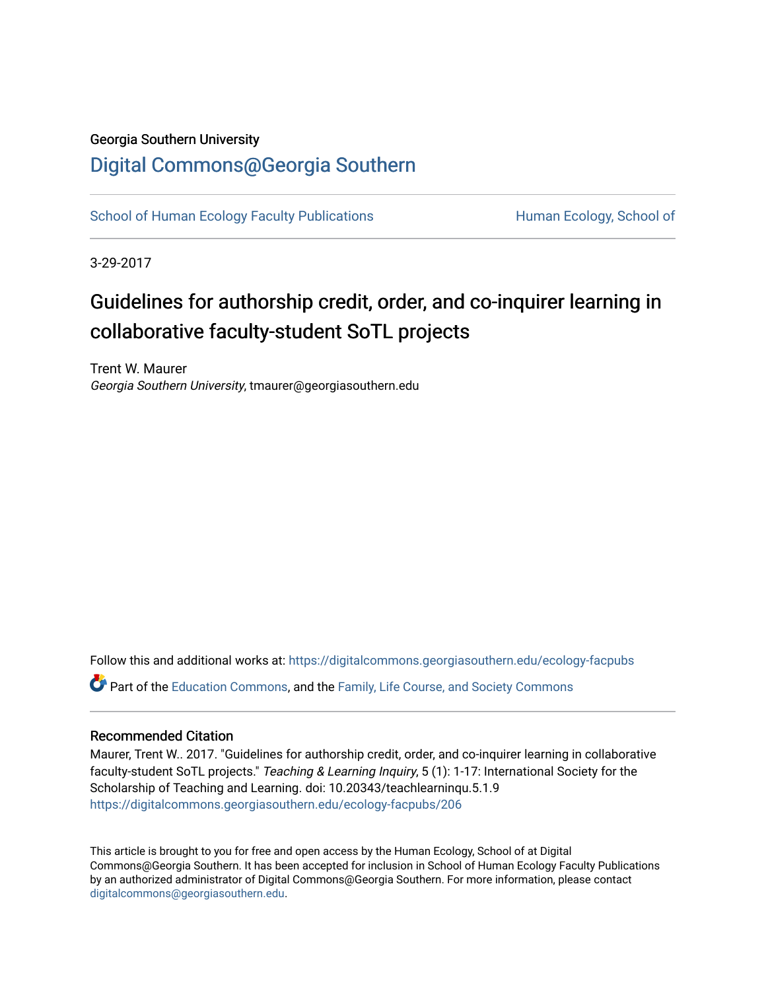## Georgia Southern University

## [Digital Commons@Georgia Southern](https://digitalcommons.georgiasouthern.edu/)

[School of Human Ecology Faculty Publications](https://digitalcommons.georgiasouthern.edu/ecology-facpubs) **Human Ecology, School of** Human Ecology, School of

3-29-2017

## Guidelines for authorship credit, order, and co-inquirer learning in collaborative faculty-student SoTL projects

Trent W. Maurer Georgia Southern University, tmaurer@georgiasouthern.edu

Follow this and additional works at: [https://digitalcommons.georgiasouthern.edu/ecology-facpubs](https://digitalcommons.georgiasouthern.edu/ecology-facpubs?utm_source=digitalcommons.georgiasouthern.edu%2Fecology-facpubs%2F206&utm_medium=PDF&utm_campaign=PDFCoverPages)

Part of the [Education Commons](http://network.bepress.com/hgg/discipline/784?utm_source=digitalcommons.georgiasouthern.edu%2Fecology-facpubs%2F206&utm_medium=PDF&utm_campaign=PDFCoverPages), and the [Family, Life Course, and Society Commons](http://network.bepress.com/hgg/discipline/419?utm_source=digitalcommons.georgiasouthern.edu%2Fecology-facpubs%2F206&utm_medium=PDF&utm_campaign=PDFCoverPages)

#### Recommended Citation

Maurer, Trent W.. 2017. "Guidelines for authorship credit, order, and co-inquirer learning in collaborative faculty-student SoTL projects." Teaching & Learning Inquiry, 5 (1): 1-17: International Society for the Scholarship of Teaching and Learning. doi: 10.20343/teachlearninqu.5.1.9 [https://digitalcommons.georgiasouthern.edu/ecology-facpubs/206](https://digitalcommons.georgiasouthern.edu/ecology-facpubs/206?utm_source=digitalcommons.georgiasouthern.edu%2Fecology-facpubs%2F206&utm_medium=PDF&utm_campaign=PDFCoverPages)

This article is brought to you for free and open access by the Human Ecology, School of at Digital Commons@Georgia Southern. It has been accepted for inclusion in School of Human Ecology Faculty Publications by an authorized administrator of Digital Commons@Georgia Southern. For more information, please contact [digitalcommons@georgiasouthern.edu.](mailto:digitalcommons@georgiasouthern.edu)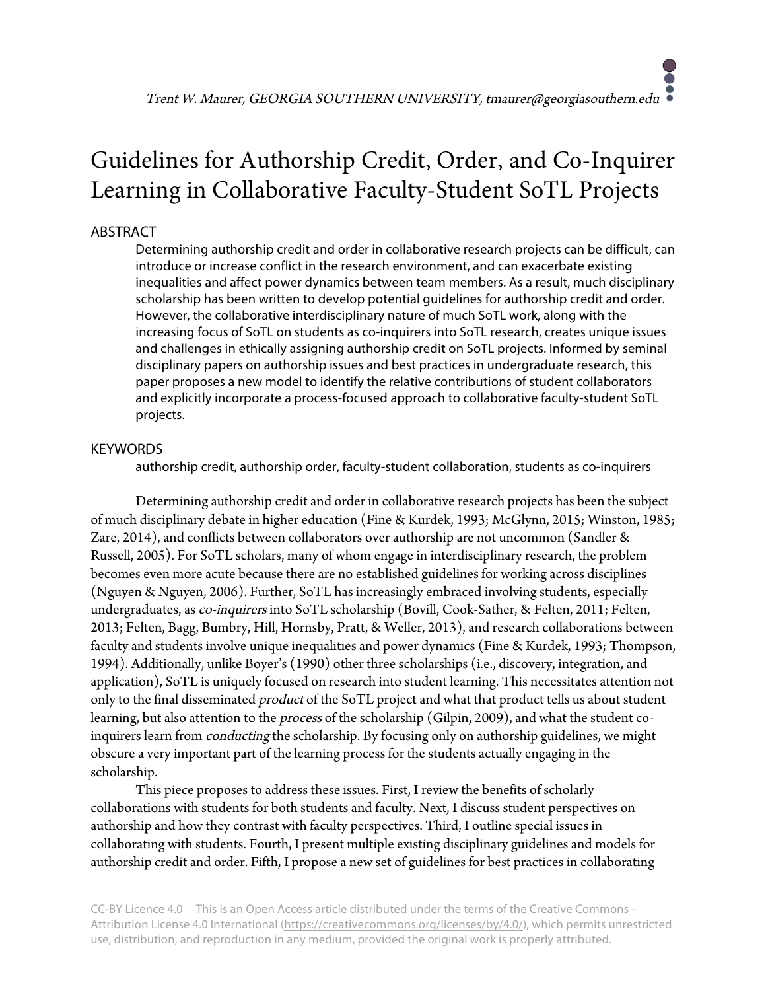# Guidelines for Authorship Credit, Order, and Co-Inquirer Learning in Collaborative Faculty-Student SoTL Projects

### ABSTRACT

Determining authorship credit and order in collaborative research projects can be difficult, can introduce or increase conflict in the research environment, and can exacerbate existing inequalities and affect power dynamics between team members. As a result, much disciplinary scholarship has been written to develop potential guidelines for authorship credit and order. However, the collaborative interdisciplinary nature of much SoTL work, along with the increasing focus of SoTL on students as co-inquirers into SoTL research, creates unique issues and challenges in ethically assigning authorship credit on SoTL projects. Informed by seminal disciplinary papers on authorship issues and best practices in undergraduate research, this paper proposes a new model to identify the relative contributions of student collaborators and explicitly incorporate a process-focused approach to collaborative faculty-student SoTL projects.

#### **KEYWORDS**

authorship credit, authorship order, faculty-student collaboration, students as co-inquirers

Determining authorship credit and order in collaborative research projects has been the subject of much disciplinary debate in higher education (Fine & Kurdek, 1993; McGlynn, 2015; Winston, 1985; Zare, 2014), and conflicts between collaborators over authorship are not uncommon (Sandler & Russell, 2005). For SoTL scholars, many of whom engage in interdisciplinary research, the problem becomes even more acute because there are no established guidelines for working across disciplines (Nguyen & Nguyen, 2006). Further, SoTL has increasingly embraced involving students, especially undergraduates, as co-inquirers into SoTL scholarship (Bovill, Cook-Sather, & Felten, 2011; Felten, 2013; Felten, Bagg, Bumbry, Hill, Hornsby, Pratt, & Weller, 2013), and research collaborations between faculty and students involve unique inequalities and power dynamics (Fine & Kurdek, 1993; Thompson, 1994). Additionally, unlike Boyer's (1990) other three scholarships (i.e., discovery, integration, and application), SoTL is uniquely focused on research into student learning. This necessitates attention not only to the final disseminated *product* of the SoTL project and what that product tells us about student learning, but also attention to the *process* of the scholarship (Gilpin, 2009), and what the student coinquirers learn from conducting the scholarship. By focusing only on authorship guidelines, we might obscure a very important part of the learning process for the students actually engaging in the scholarship.

This piece proposes to address these issues. First, I review the benefits of scholarly collaborations with students for both students and faculty. Next, I discuss student perspectives on authorship and how they contrast with faculty perspectives. Third, I outline special issues in collaborating with students. Fourth, I present multiple existing disciplinary guidelines and models for authorship credit and order. Fifth, I propose a new set of guidelines for best practices in collaborating

CC-BY Licence 4.0 This is an Open Access article distributed under the terms of the Creative Commons – Attribution License 4.0 International (https://creativecommons.org/licenses/by/4.0/), which permits unrestricted use, distribution, and reproduction in any medium, provided the original work is properly attributed.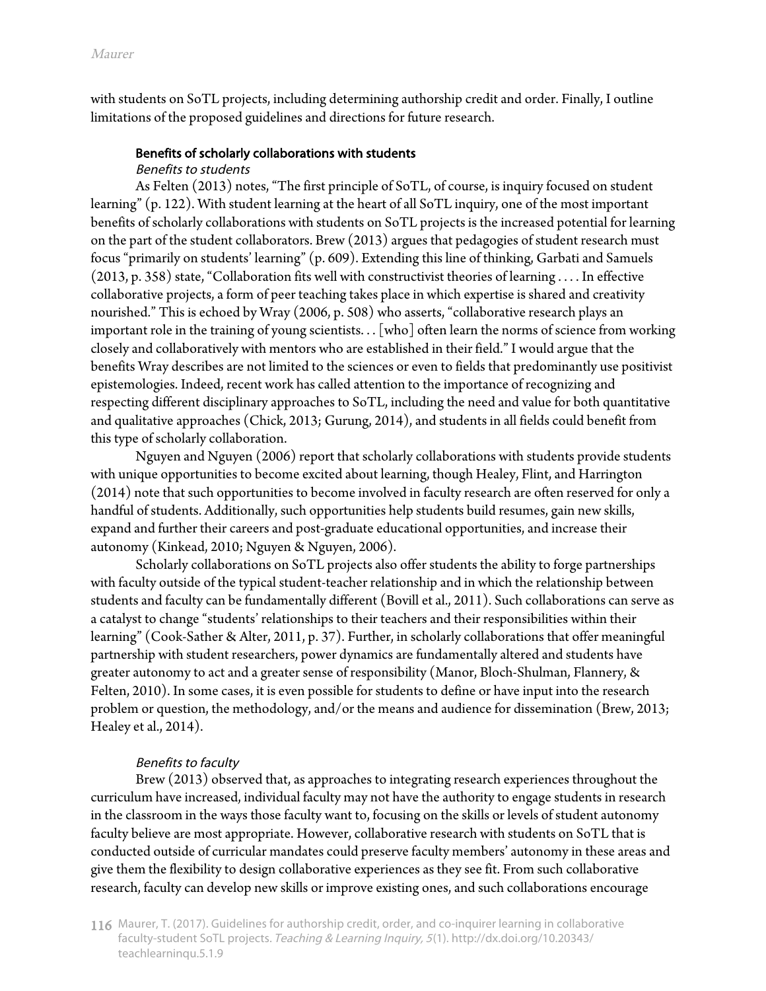with students on SoTL projects, including determining authorship credit and order. Finally, I outline limitations of the proposed guidelines and directions for future research.

#### Benefits of scholarly collaborations with students

#### Benefits to students

As Felten (2013) notes, "The first principle of SoTL, of course, is inquiry focused on student learning" (p. 122). With student learning at the heart of all SoTL inquiry, one of the most important benefits of scholarly collaborations with students on SoTL projects is the increased potential for learning on the part of the student collaborators. Brew (2013) argues that pedagogies of student research must focus "primarily on students' learning" (p. 609). Extending this line of thinking, Garbati and Samuels (2013, p. 358) state, "Collaboration fits well with constructivist theories of learning . . . . In effective collaborative projects, a form of peer teaching takes place in which expertise is shared and creativity nourished." This is echoed by Wray (2006, p. 508) who asserts, "collaborative research plays an important role in the training of young scientists. . . [who] often learn the norms of science from working closely and collaboratively with mentors who are established in their field." I would argue that the benefits Wray describes are not limited to the sciences or even to fields that predominantly use positivist epistemologies. Indeed, recent work has called attention to the importance of recognizing and respecting different disciplinary approaches to SoTL, including the need and value for both quantitative and qualitative approaches (Chick, 2013; Gurung, 2014), and students in all fields could benefit from this type of scholarly collaboration.

Nguyen and Nguyen (2006) report that scholarly collaborations with students provide students with unique opportunities to become excited about learning, though Healey, Flint, and Harrington (2014) note that such opportunities to become involved in faculty research are often reserved for only a handful of students. Additionally, such opportunities help students build resumes, gain new skills, expand and further their careers and post-graduate educational opportunities, and increase their autonomy (Kinkead, 2010; Nguyen & Nguyen, 2006).

Scholarly collaborations on SoTL projects also offer students the ability to forge partnerships with faculty outside of the typical student-teacher relationship and in which the relationship between students and faculty can be fundamentally different (Bovill et al., 2011). Such collaborations can serve as a catalyst to change "students' relationships to their teachers and their responsibilities within their learning" (Cook-Sather & Alter, 2011, p. 37). Further, in scholarly collaborations that offer meaningful partnership with student researchers, power dynamics are fundamentally altered and students have greater autonomy to act and a greater sense of responsibility (Manor, Bloch-Shulman, Flannery, & Felten, 2010). In some cases, it is even possible for students to define or have input into the research problem or question, the methodology, and/or the means and audience for dissemination (Brew, 2013; Healey et al., 2014).

#### Benefits to faculty

Brew (2013) observed that, as approaches to integrating research experiences throughout the curriculum have increased, individual faculty may not have the authority to engage students in research in the classroom in the ways those faculty want to, focusing on the skills or levels of student autonomy faculty believe are most appropriate. However, collaborative research with students on SoTL that is conducted outside of curricular mandates could preserve faculty members' autonomy in these areas and give them the flexibility to design collaborative experiences as they see fit. From such collaborative research, faculty can develop new skills or improve existing ones, and such collaborations encourage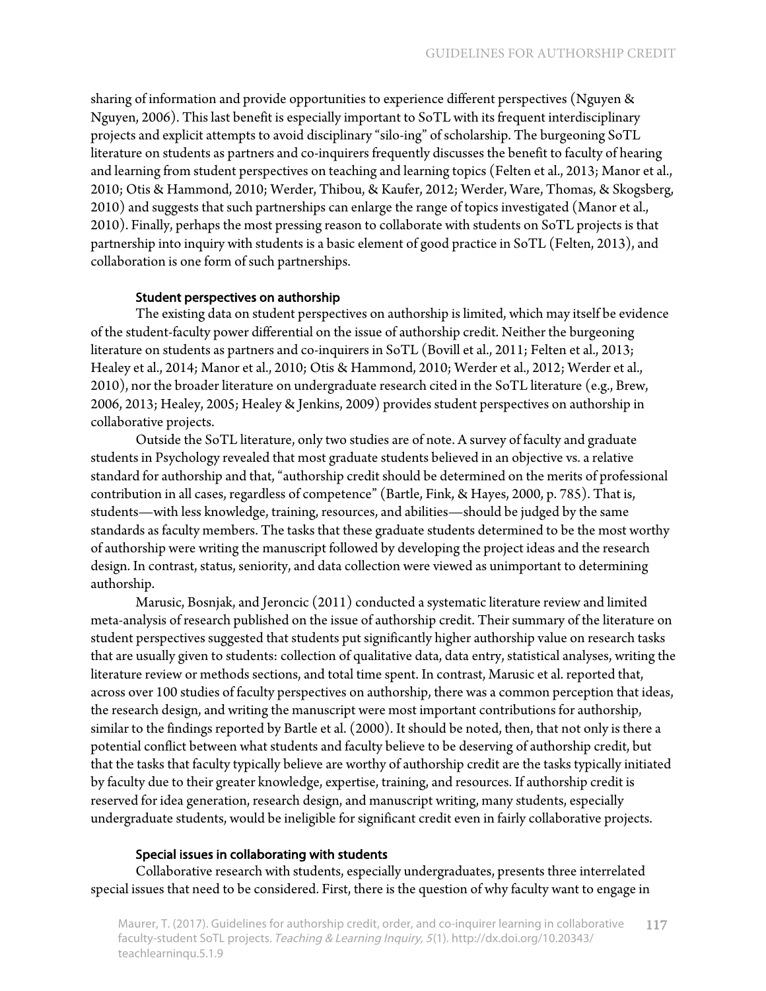sharing of information and provide opportunities to experience different perspectives (Nguyen & Nguyen, 2006). This last benefit is especially important to SoTL with its frequent interdisciplinary projects and explicit attempts to avoid disciplinary "silo-ing" of scholarship. The burgeoning SoTL literature on students as partners and co-inquirers frequently discusses the benefit to faculty of hearing and learning from student perspectives on teaching and learning topics (Felten et al., 2013; Manor et al., 2010; Otis & Hammond, 2010; Werder, Thibou, & Kaufer, 2012; Werder, Ware, Thomas, & Skogsberg, 2010) and suggests that such partnerships can enlarge the range of topics investigated (Manor et al., 2010). Finally, perhaps the most pressing reason to collaborate with students on SoTL projects is that partnership into inquiry with students is a basic element of good practice in SoTL (Felten, 2013), and collaboration is one form of such partnerships.

#### Student perspectives on authorship

The existing data on student perspectives on authorship is limited, which may itself be evidence of the student-faculty power differential on the issue of authorship credit. Neither the burgeoning literature on students as partners and co-inquirers in SoTL (Bovill et al., 2011; Felten et al., 2013; Healey et al., 2014; Manor et al., 2010; Otis & Hammond, 2010; Werder et al., 2012; Werder et al., 2010), nor the broader literature on undergraduate research cited in the SoTL literature (e.g., Brew, 2006, 2013; Healey, 2005; Healey & Jenkins, 2009) provides student perspectives on authorship in collaborative projects.

Outside the SoTL literature, only two studies are of note. A survey of faculty and graduate students in Psychology revealed that most graduate students believed in an objective vs. a relative standard for authorship and that, "authorship credit should be determined on the merits of professional contribution in all cases, regardless of competence" (Bartle, Fink, & Hayes, 2000, p. 785). That is, students—with less knowledge, training, resources, and abilities—should be judged by the same standards as faculty members. The tasks that these graduate students determined to be the most worthy of authorship were writing the manuscript followed by developing the project ideas and the research design. In contrast, status, seniority, and data collection were viewed as unimportant to determining authorship.

Marusic, Bosnjak, and Jeroncic (2011) conducted a systematic literature review and limited meta-analysis of research published on the issue of authorship credit. Their summary of the literature on student perspectives suggested that students put significantly higher authorship value on research tasks that are usually given to students: collection of qualitative data, data entry, statistical analyses, writing the literature review or methods sections, and total time spent. In contrast, Marusic et al. reported that, across over 100 studies of faculty perspectives on authorship, there was a common perception that ideas, the research design, and writing the manuscript were most important contributions for authorship, similar to the findings reported by Bartle et al. (2000). It should be noted, then, that not only is there a potential conflict between what students and faculty believe to be deserving of authorship credit, but that the tasks that faculty typically believe are worthy of authorship credit are the tasks typically initiated by faculty due to their greater knowledge, expertise, training, and resources. If authorship credit is reserved for idea generation, research design, and manuscript writing, many students, especially undergraduate students, would be ineligible for significant credit even in fairly collaborative projects.

#### Special issues in collaborating with students

Collaborative research with students, especially undergraduates, presents three interrelated special issues that need to be considered. First, there is the question of why faculty want to engage in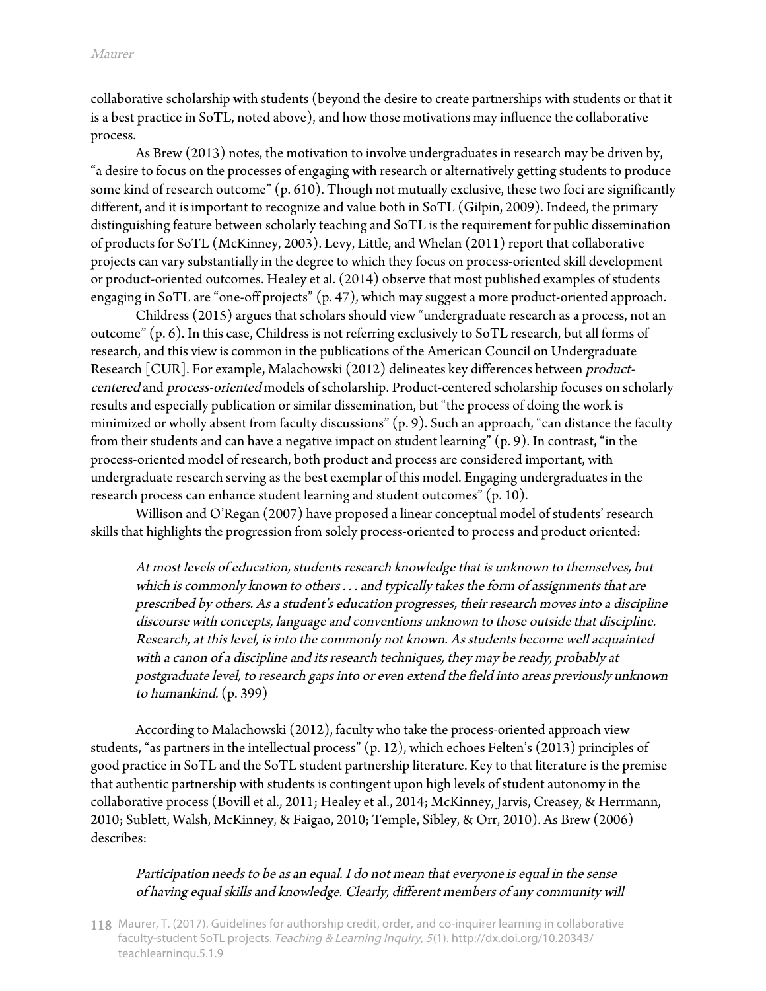collaborative scholarship with students (beyond the desire to create partnerships with students or that it is a best practice in SoTL, noted above), and how those motivations may influence the collaborative process.

As Brew (2013) notes, the motivation to involve undergraduates in research may be driven by, "a desire to focus on the processes of engaging with research or alternatively getting students to produce some kind of research outcome" (p. 610). Though not mutually exclusive, these two foci are significantly different, and it is important to recognize and value both in SoTL (Gilpin, 2009). Indeed, the primary distinguishing feature between scholarly teaching and SoTL is the requirement for public dissemination of products for SoTL (McKinney, 2003). Levy, Little, and Whelan (2011) report that collaborative projects can vary substantially in the degree to which they focus on process-oriented skill development or product-oriented outcomes. Healey et al. (2014) observe that most published examples of students engaging in SoTL are "one-off projects" (p. 47), which may suggest a more product-oriented approach.

Childress (2015) argues that scholars should view "undergraduate research as a process, not an outcome" (p. 6). In this case, Childress is not referring exclusively to SoTL research, but all forms of research, and this view is common in the publications of the American Council on Undergraduate Research [CUR]. For example, Malachowski (2012) delineates key differences between productcentered and process-oriented models of scholarship. Product-centered scholarship focuses on scholarly results and especially publication or similar dissemination, but "the process of doing the work is minimized or wholly absent from faculty discussions" (p. 9). Such an approach, "can distance the faculty from their students and can have a negative impact on student learning" (p. 9). In contrast, "in the process-oriented model of research, both product and process are considered important, with undergraduate research serving as the best exemplar of this model. Engaging undergraduates in the research process can enhance student learning and student outcomes" (p. 10).

Willison and O'Regan (2007) have proposed a linear conceptual model of students' research skills that highlights the progression from solely process-oriented to process and product oriented:

At most levels of education, students research knowledge that is unknown to themselves, but which is commonly known to others . . . and typically takes the form of assignments that are prescribed by others. As a student's education progresses, their research moves into a discipline discourse with concepts, language and conventions unknown to those outside that discipline. Research, at this level, is into the commonly not known. As students become well acquainted with a canon of a discipline and its research techniques, they may be ready, probably at postgraduate level, to research gaps into or even extend the field into areas previously unknown to humankind. (p. 399)

According to Malachowski (2012), faculty who take the process-oriented approach view students, "as partners in the intellectual process" (p. 12), which echoes Felten's (2013) principles of good practice in SoTL and the SoTL student partnership literature. Key to that literature is the premise that authentic partnership with students is contingent upon high levels of student autonomy in the collaborative process (Bovill et al., 2011; Healey et al., 2014; McKinney, Jarvis, Creasey, & Herrmann, 2010; Sublett, Walsh, McKinney, & Faigao, 2010; Temple, Sibley, & Orr, 2010). As Brew (2006) describes:

#### Participation needs to be as an equal. I do not mean that everyone is equal in the sense of having equal skills and knowledge. Clearly, different members of any community will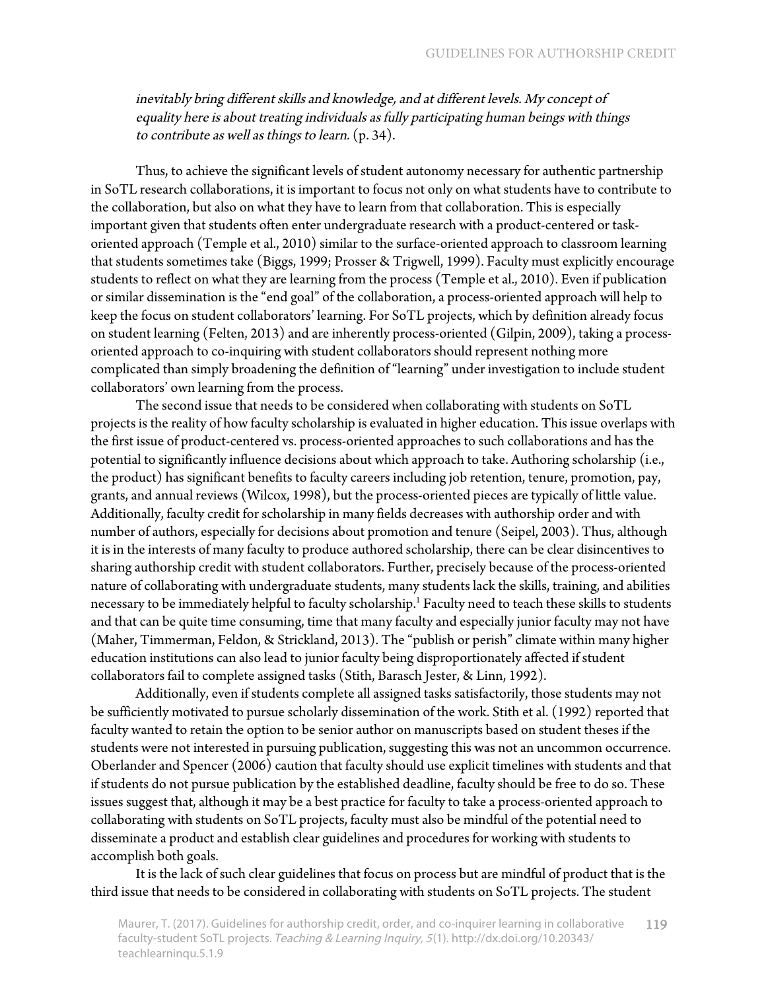inevitably bring different skills and knowledge, and at different levels. My concept of equality here is about treating individuals as fully participating human beings with things to contribute as well as things to learn. (p. 34).

Thus, to achieve the significant levels of student autonomy necessary for authentic partnership in SoTL research collaborations, it is important to focus not only on what students have to contribute to the collaboration, but also on what they have to learn from that collaboration. This is especially important given that students often enter undergraduate research with a product-centered or taskoriented approach (Temple et al., 2010) similar to the surface-oriented approach to classroom learning that students sometimes take (Biggs, 1999; Prosser & Trigwell, 1999). Faculty must explicitly encourage students to reflect on what they are learning from the process (Temple et al., 2010). Even if publication or similar dissemination is the "end goal" of the collaboration, a process-oriented approach will help to keep the focus on student collaborators' learning. For SoTL projects, which by definition already focus on student learning (Felten, 2013) and are inherently process-oriented (Gilpin, 2009), taking a processoriented approach to co-inquiring with student collaborators should represent nothing more complicated than simply broadening the definition of "learning" under investigation to include student collaborators' own learning from the process.

The second issue that needs to be considered when collaborating with students on SoTL projects is the reality of how faculty scholarship is evaluated in higher education. This issue overlaps with the first issue of product-centered vs. process-oriented approaches to such collaborations and has the potential to significantly influence decisions about which approach to take. Authoring scholarship (i.e., the product) has significant benefits to faculty careers including job retention, tenure, promotion, pay, grants, and annual reviews (Wilcox, 1998), but the process-oriented pieces are typically of little value. Additionally, faculty credit for scholarship in many fields decreases with authorship order and with number of authors, especially for decisions about promotion and tenure (Seipel, 2003). Thus, although it is in the interests of many faculty to produce authored scholarship, there can be clear disincentives to sharing authorship credit with student collaborators. Further, precisely because of the process-oriented nature of collaborating with undergraduate students, many students lack the skills, training, and abilities necessary to be immediately helpful to faculty scholarship. $^{\rm 1}$  Faculty need to teach these skills to students and that can be quite time consuming, time that many faculty and especially junior faculty may not have (Maher, Timmerman, Feldon, & Strickland, 2013). The "publish or perish" climate within many higher education institutions can also lead to junior faculty being disproportionately affected if student collaborators fail to complete assigned tasks (Stith, Barasch Jester, & Linn, 1992).

Additionally, even if students complete all assigned tasks satisfactorily, those students may not be sufficiently motivated to pursue scholarly dissemination of the work. Stith et al. (1992) reported that faculty wanted to retain the option to be senior author on manuscripts based on student theses if the students were not interested in pursuing publication, suggesting this was not an uncommon occurrence. Oberlander and Spencer (2006) caution that faculty should use explicit timelines with students and that if students do not pursue publication by the established deadline, faculty should be free to do so. These issues suggest that, although it may be a best practice for faculty to take a process-oriented approach to collaborating with students on SoTL projects, faculty must also be mindful of the potential need to disseminate a product and establish clear guidelines and procedures for working with students to accomplish both goals.

It is the lack of such clear guidelines that focus on process but are mindful of product that is the third issue that needs to be considered in collaborating with students on SoTL projects. The student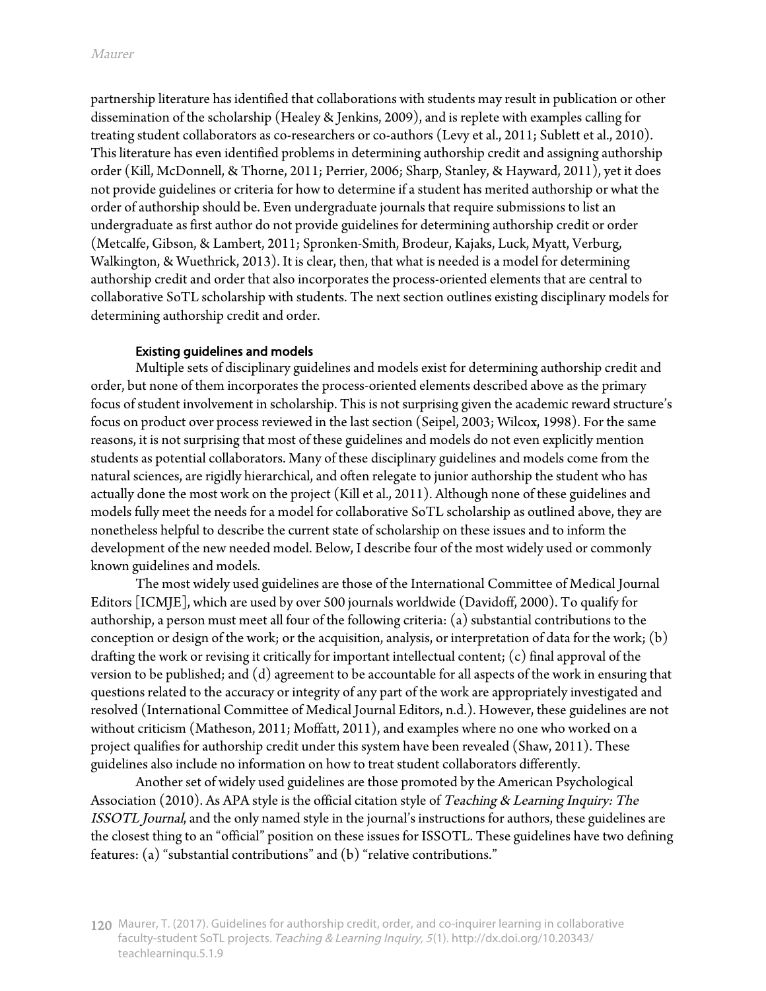partnership literature has identified that collaborations with students may result in publication or other dissemination of the scholarship (Healey & Jenkins, 2009), and is replete with examples calling for treating student collaborators as co-researchers or co-authors (Levy et al., 2011; Sublett et al., 2010). This literature has even identified problems in determining authorship credit and assigning authorship order (Kill, McDonnell, & Thorne, 2011; Perrier, 2006; Sharp, Stanley, & Hayward, 2011), yet it does not provide guidelines or criteria for how to determine if a student has merited authorship or what the order of authorship should be. Even undergraduate journals that require submissions to list an undergraduate as first author do not provide guidelines for determining authorship credit or order (Metcalfe, Gibson, & Lambert, 2011; Spronken-Smith, Brodeur, Kajaks, Luck, Myatt, Verburg, Walkington, & Wuethrick, 2013). It is clear, then, that what is needed is a model for determining authorship credit and order that also incorporates the process-oriented elements that are central to collaborative SoTL scholarship with students. The next section outlines existing disciplinary models for determining authorship credit and order.

#### Existing guidelines and models

Multiple sets of disciplinary guidelines and models exist for determining authorship credit and order, but none of them incorporates the process-oriented elements described above as the primary focus of student involvement in scholarship. This is not surprising given the academic reward structure's focus on product over process reviewed in the last section (Seipel, 2003; Wilcox, 1998). For the same reasons, it is not surprising that most of these guidelines and models do not even explicitly mention students as potential collaborators. Many of these disciplinary guidelines and models come from the natural sciences, are rigidly hierarchical, and often relegate to junior authorship the student who has actually done the most work on the project (Kill et al., 2011). Although none of these guidelines and models fully meet the needs for a model for collaborative SoTL scholarship as outlined above, they are nonetheless helpful to describe the current state of scholarship on these issues and to inform the development of the new needed model. Below, I describe four of the most widely used or commonly known guidelines and models.

The most widely used guidelines are those of the International Committee of Medical Journal Editors [ICMJE], which are used by over 500 journals worldwide (Davidoff, 2000). To qualify for authorship, a person must meet all four of the following criteria: (a) substantial contributions to the conception or design of the work; or the acquisition, analysis, or interpretation of data for the work; (b) drafting the work or revising it critically for important intellectual content; (c) final approval of the version to be published; and (d) agreement to be accountable for all aspects of the work in ensuring that questions related to the accuracy or integrity of any part of the work are appropriately investigated and resolved (International Committee of Medical Journal Editors, n.d.). However, these guidelines are not without criticism (Matheson, 2011; Moffatt, 2011), and examples where no one who worked on a project qualifies for authorship credit under this system have been revealed (Shaw, 2011). These guidelines also include no information on how to treat student collaborators differently.

Another set of widely used guidelines are those promoted by the American Psychological Association (2010). As APA style is the official citation style of Teaching & Learning Inquiry: The ISSOTL Journal, and the only named style in the journal's instructions for authors, these guidelines are the closest thing to an "official" position on these issues for ISSOTL. These guidelines have two defining features: (a) "substantial contributions" and (b) "relative contributions."

<sup>120</sup> Maurer, T. (2017). Guidelines for authorship credit, order, and co-inquirer learning in collaborative faculty-student SoTL projects. Teaching & Learning Inquiry, <sup>5</sup>(1). http://dx.doi.org/10.20343/ teachlearninqu.5.1.9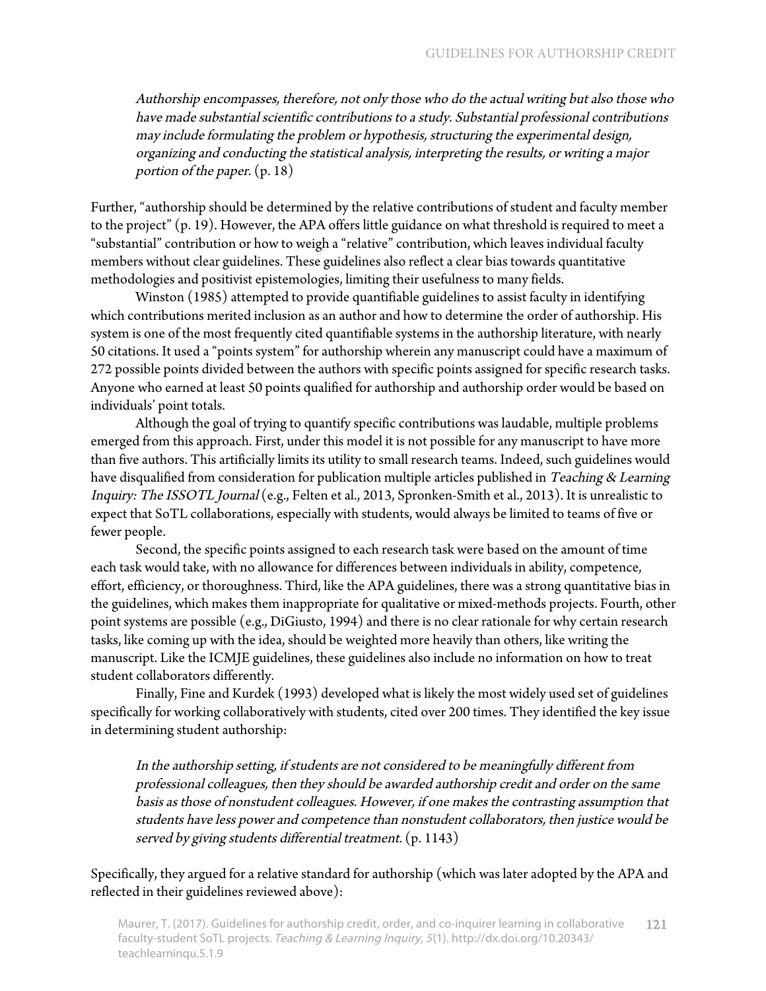Authorship encompasses, therefore, not only those who do the actual writing but also those who have made substantial scientific contributions to a study. Substantial professional contributions may include formulating the problem or hypothesis, structuring the experimental design, organizing and conducting the statistical analysis, interpreting the results, or writing a major portion of the paper. (p. 18)

Further, "authorship should be determined by the relative contributions of student and faculty member to the project" (p. 19). However, the APA offers little guidance on what threshold is required to meet a "substantial" contribution or how to weigh a "relative" contribution, which leaves individual faculty members without clear guidelines. These guidelines also reflect a clear bias towards quantitative methodologies and positivist epistemologies, limiting their usefulness to many fields.

Winston (1985) attempted to provide quantifiable guidelines to assist faculty in identifying which contributions merited inclusion as an author and how to determine the order of authorship. His system is one of the most frequently cited quantifiable systems in the authorship literature, with nearly 50 citations. It used a "points system" for authorship wherein any manuscript could have a maximum of 272 possible points divided between the authors with specific points assigned for specific research tasks. Anyone who earned at least 50 points qualified for authorship and authorship order would be based on individuals' point totals.

Although the goal of trying to quantify specific contributions was laudable, multiple problems emerged from this approach. First, under this model it is not possible for any manuscript to have more than five authors. This artificially limits its utility to small research teams. Indeed, such guidelines would have disqualified from consideration for publication multiple articles published in Teaching & Learning Inquiry: The ISSOTL Journal (e.g., Felten et al., 2013, Spronken-Smith et al., 2013). It is unrealistic to expect that SoTL collaborations, especially with students, would always be limited to teams of five or fewer people.

Second, the specific points assigned to each research task were based on the amount of time each task would take, with no allowance for differences between individuals in ability, competence, effort, efficiency, or thoroughness. Third, like the APA guidelines, there was a strong quantitative bias in the guidelines, which makes them inappropriate for qualitative or mixed-methods projects. Fourth, other point systems are possible (e.g., DiGiusto, 1994) and there is no clear rationale for why certain research tasks, like coming up with the idea, should be weighted more heavily than others, like writing the manuscript. Like the ICMJE guidelines, these guidelines also include no information on how to treat student collaborators differently.

Finally, Fine and Kurdek (1993) developed what is likely the most widely used set of guidelines specifically for working collaboratively with students, cited over 200 times. They identified the key issue in determining student authorship:

In the authorship setting, if students are not considered to be meaningfully different from professional colleagues, then they should be awarded authorship credit and order on the same basis as those of nonstudent colleagues. However, if one makes the contrasting assumption that students have less power and competence than nonstudent collaborators, then justice would be served by giving students differential treatment. (p. 1143)

Specifically, they argued for a relative standard for authorship (which was later adopted by the APA and reflected in their guidelines reviewed above):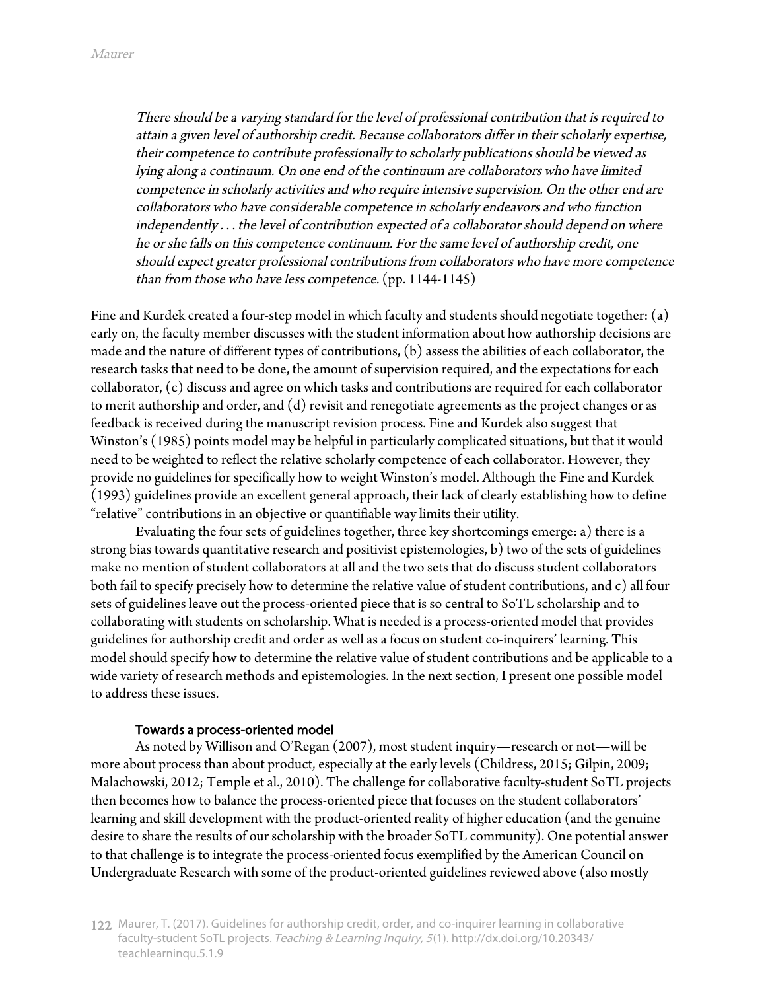There should be a varying standard for the level of professional contribution that is required to attain a given level of authorship credit. Because collaborators differ in their scholarly expertise, their competence to contribute professionally to scholarly publications should be viewed as lying along a continuum. On one end of the continuum are collaborators who have limited competence in scholarly activities and who require intensive supervision. On the other end are collaborators who have considerable competence in scholarly endeavors and who function independently . . . the level of contribution expected of a collaborator should depend on where he or she falls on this competence continuum. For the same level of authorship credit, one should expect greater professional contributions from collaborators who have more competence than from those who have less competence. (pp. 1144-1145)

Fine and Kurdek created a four-step model in which faculty and students should negotiate together: (a) early on, the faculty member discusses with the student information about how authorship decisions are made and the nature of different types of contributions, (b) assess the abilities of each collaborator, the research tasks that need to be done, the amount of supervision required, and the expectations for each collaborator, (c) discuss and agree on which tasks and contributions are required for each collaborator to merit authorship and order, and (d) revisit and renegotiate agreements as the project changes or as feedback is received during the manuscript revision process. Fine and Kurdek also suggest that Winston's (1985) points model may be helpful in particularly complicated situations, but that it would need to be weighted to reflect the relative scholarly competence of each collaborator. However, they provide no guidelines for specifically how to weight Winston's model. Although the Fine and Kurdek (1993) guidelines provide an excellent general approach, their lack of clearly establishing how to define "relative" contributions in an objective or quantifiable way limits their utility.

Evaluating the four sets of guidelines together, three key shortcomings emerge: a) there is a strong bias towards quantitative research and positivist epistemologies, b) two of the sets of guidelines make no mention of student collaborators at all and the two sets that do discuss student collaborators both fail to specify precisely how to determine the relative value of student contributions, and c) all four sets of guidelines leave out the process-oriented piece that is so central to SoTL scholarship and to collaborating with students on scholarship. What is needed is a process-oriented model that provides guidelines for authorship credit and order as well as a focus on student co-inquirers' learning. This model should specify how to determine the relative value of student contributions and be applicable to a wide variety of research methods and epistemologies. In the next section, I present one possible model to address these issues.

#### Towards a process-oriented model

As noted by Willison and O'Regan (2007), most student inquiry—research or not—will be more about process than about product, especially at the early levels (Childress, 2015; Gilpin, 2009; Malachowski, 2012; Temple et al., 2010). The challenge for collaborative faculty-student SoTL projects then becomes how to balance the process-oriented piece that focuses on the student collaborators' learning and skill development with the product-oriented reality of higher education (and the genuine desire to share the results of our scholarship with the broader SoTL community). One potential answer to that challenge is to integrate the process-oriented focus exemplified by the American Council on Undergraduate Research with some of the product-oriented guidelines reviewed above (also mostly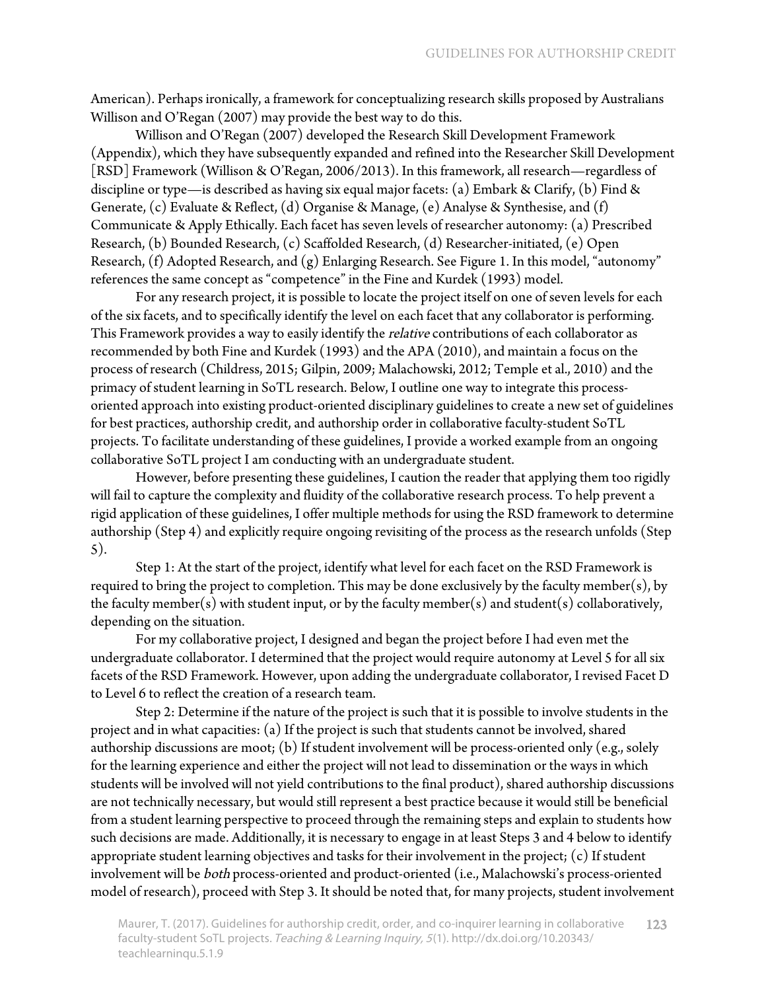American). Perhaps ironically, a framework for conceptualizing research skills proposed by Australians Willison and O'Regan (2007) may provide the best way to do this.

Willison and O'Regan (2007) developed the Research Skill Development Framework (Appendix), which they have subsequently expanded and refined into the Researcher Skill Development [RSD] Framework (Willison & O'Regan, 2006/2013). In this framework, all research—regardless of discipline or type—is described as having six equal major facets: (a) Embark & Clarify, (b) Find & Generate, (c) Evaluate & Reflect, (d) Organise & Manage, (e) Analyse & Synthesise, and (f) Communicate & Apply Ethically. Each facet has seven levels of researcher autonomy: (a) Prescribed Research, (b) Bounded Research, (c) Scaffolded Research, (d) Researcher-initiated, (e) Open Research, (f) Adopted Research, and (g) Enlarging Research. See Figure 1. In this model, "autonomy" references the same concept as "competence" in the Fine and Kurdek (1993) model.

For any research project, it is possible to locate the project itself on one of seven levels for each of the six facets, and to specifically identify the level on each facet that any collaborator is performing. This Framework provides a way to easily identify the *relative* contributions of each collaborator as recommended by both Fine and Kurdek (1993) and the APA (2010), and maintain a focus on the process of research (Childress, 2015; Gilpin, 2009; Malachowski, 2012; Temple et al., 2010) and the primacy of student learning in SoTL research. Below, I outline one way to integrate this processoriented approach into existing product-oriented disciplinary guidelines to create a new set of guidelines for best practices, authorship credit, and authorship order in collaborative faculty-student SoTL projects. To facilitate understanding of these guidelines, I provide a worked example from an ongoing collaborative SoTL project I am conducting with an undergraduate student.

However, before presenting these guidelines, I caution the reader that applying them too rigidly will fail to capture the complexity and fluidity of the collaborative research process. To help prevent a rigid application of these guidelines, I offer multiple methods for using the RSD framework to determine authorship (Step 4) and explicitly require ongoing revisiting of the process as the research unfolds (Step 5).

Step 1: At the start of the project, identify what level for each facet on the RSD Framework is required to bring the project to completion. This may be done exclusively by the faculty member(s), by the faculty member(s) with student input, or by the faculty member(s) and student(s) collaboratively, depending on the situation.

For my collaborative project, I designed and began the project before I had even met the undergraduate collaborator. I determined that the project would require autonomy at Level 5 for all six facets of the RSD Framework. However, upon adding the undergraduate collaborator, I revised Facet D to Level 6 to reflect the creation of a research team.

Step 2: Determine if the nature of the project is such that it is possible to involve students in the project and in what capacities: (a) If the project is such that students cannot be involved, shared authorship discussions are moot; (b) If student involvement will be process-oriented only (e.g., solely for the learning experience and either the project will not lead to dissemination or the ways in which students will be involved will not yield contributions to the final product), shared authorship discussions are not technically necessary, but would still represent a best practice because it would still be beneficial from a student learning perspective to proceed through the remaining steps and explain to students how such decisions are made. Additionally, it is necessary to engage in at least Steps 3 and 4 below to identify appropriate student learning objectives and tasks for their involvement in the project; (c) If student involvement will be both process-oriented and product-oriented (i.e., Malachowski's process-oriented model of research), proceed with Step 3. It should be noted that, for many projects, student involvement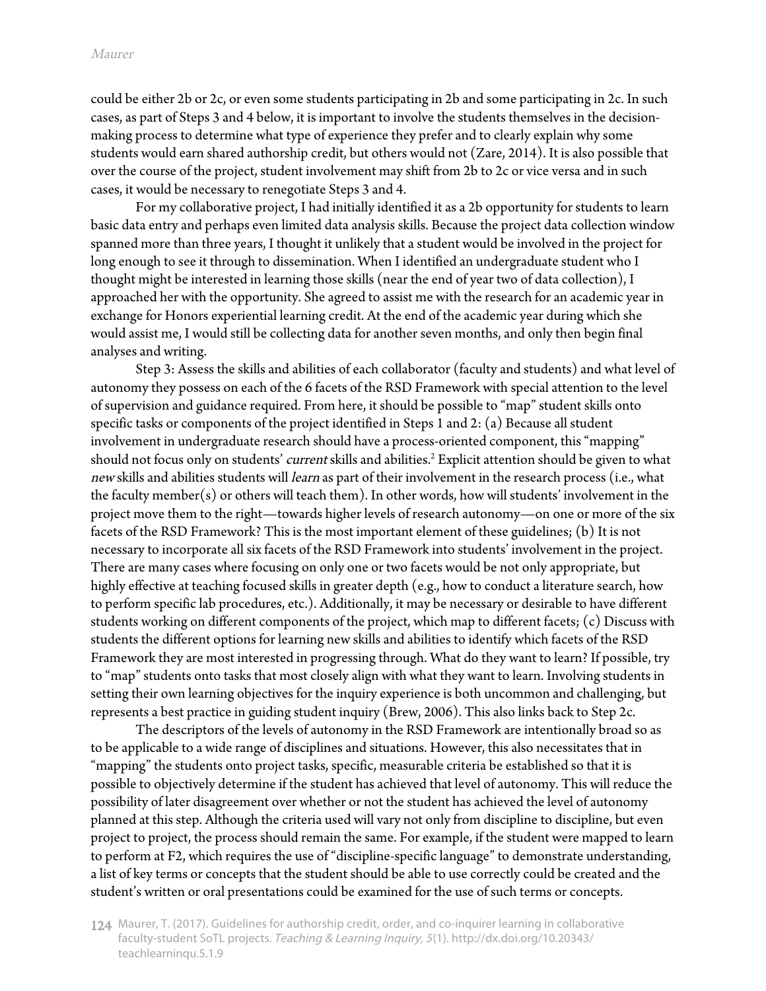could be either 2b or 2c, or even some students participating in 2b and some participating in 2c. In such cases, as part of Steps 3 and 4 below, it is important to involve the students themselves in the decisionmaking process to determine what type of experience they prefer and to clearly explain why some students would earn shared authorship credit, but others would not (Zare, 2014). It is also possible that over the course of the project, student involvement may shift from 2b to 2c or vice versa and in such cases, it would be necessary to renegotiate Steps 3 and 4.

For my collaborative project, I had initially identified it as a 2b opportunity for students to learn basic data entry and perhaps even limited data analysis skills. Because the project data collection window spanned more than three years, I thought it unlikely that a student would be involved in the project for long enough to see it through to dissemination. When I identified an undergraduate student who I thought might be interested in learning those skills (near the end of year two of data collection), I approached her with the opportunity. She agreed to assist me with the research for an academic year in exchange for Honors experiential learning credit. At the end of the academic year during which she would assist me, I would still be collecting data for another seven months, and only then begin final analyses and writing.

Step 3: Assess the skills and abilities of each collaborator (faculty and students) and what level of autonomy they possess on each of the 6 facets of the RSD Framework with special attention to the level of supervision and guidance required. From here, it should be possible to "map" student skills onto specific tasks or components of the project identified in Steps 1 and 2: (a) Because all student involvement in undergraduate research should have a process-oriented component, this "mapping" should not focus only on students' *current* skills and abilities.<sup>2</sup> Explicit attention should be given to what new skills and abilities students will learn as part of their involvement in the research process (i.e., what the faculty member(s) or others will teach them). In other words, how will students' involvement in the project move them to the right—towards higher levels of research autonomy—on one or more of the six facets of the RSD Framework? This is the most important element of these guidelines; (b) It is not necessary to incorporate all six facets of the RSD Framework into students' involvement in the project. There are many cases where focusing on only one or two facets would be not only appropriate, but highly effective at teaching focused skills in greater depth (e.g., how to conduct a literature search, how to perform specific lab procedures, etc.). Additionally, it may be necessary or desirable to have different students working on different components of the project, which map to different facets; (c) Discuss with students the different options for learning new skills and abilities to identify which facets of the RSD Framework they are most interested in progressing through. What do they want to learn? If possible, try to "map" students onto tasks that most closely align with what they want to learn. Involving students in setting their own learning objectives for the inquiry experience is both uncommon and challenging, but represents a best practice in guiding student inquiry (Brew, 2006). This also links back to Step 2c.

The descriptors of the levels of autonomy in the RSD Framework are intentionally broad so as to be applicable to a wide range of disciplines and situations. However, this also necessitates that in "mapping" the students onto project tasks, specific, measurable criteria be established so that it is possible to objectively determine if the student has achieved that level of autonomy. This will reduce the possibility of later disagreement over whether or not the student has achieved the level of autonomy planned at this step. Although the criteria used will vary not only from discipline to discipline, but even project to project, the process should remain the same. For example, if the student were mapped to learn to perform at F2, which requires the use of "discipline-specific language" to demonstrate understanding, a list of key terms or concepts that the student should be able to use correctly could be created and the student's written or oral presentations could be examined for the use of such terms or concepts.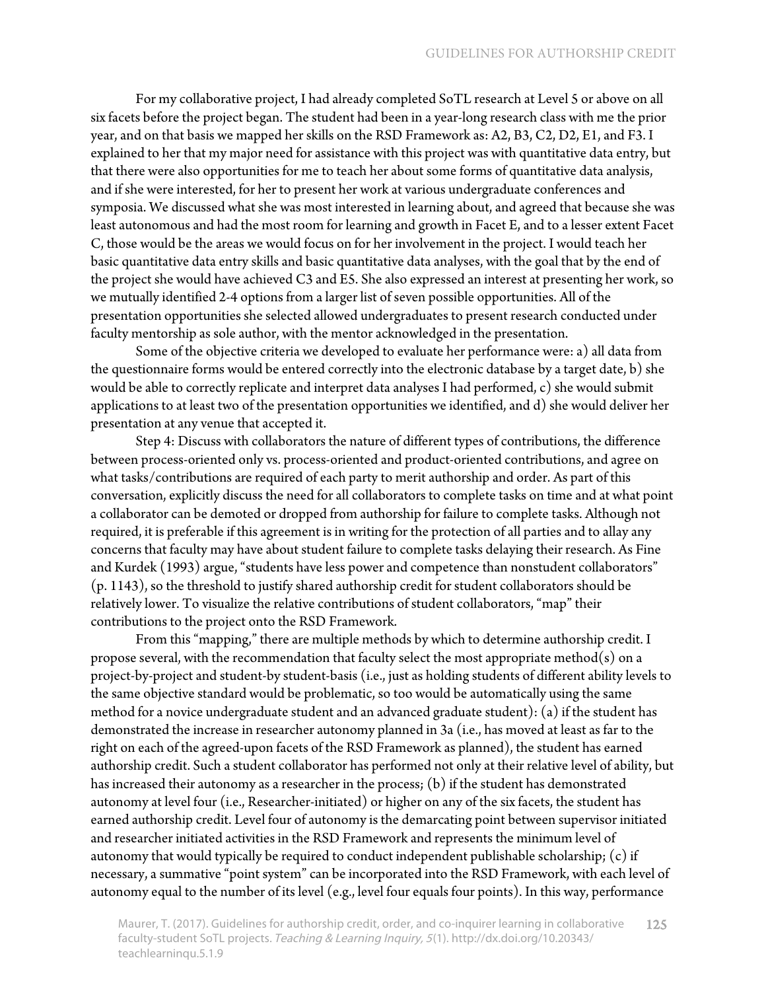For my collaborative project, I had already completed SoTL research at Level 5 or above on all six facets before the project began. The student had been in a year-long research class with me the prior year, and on that basis we mapped her skills on the RSD Framework as: A2, B3, C2, D2, E1, and F3. I explained to her that my major need for assistance with this project was with quantitative data entry, but that there were also opportunities for me to teach her about some forms of quantitative data analysis, and if she were interested, for her to present her work at various undergraduate conferences and symposia. We discussed what she was most interested in learning about, and agreed that because she was least autonomous and had the most room for learning and growth in Facet E, and to a lesser extent Facet C, those would be the areas we would focus on for her involvement in the project. I would teach her basic quantitative data entry skills and basic quantitative data analyses, with the goal that by the end of the project she would have achieved C3 and E5. She also expressed an interest at presenting her work, so we mutually identified 2-4 options from a larger list of seven possible opportunities. All of the presentation opportunities she selected allowed undergraduates to present research conducted under faculty mentorship as sole author, with the mentor acknowledged in the presentation.

Some of the objective criteria we developed to evaluate her performance were: a) all data from the questionnaire forms would be entered correctly into the electronic database by a target date, b) she would be able to correctly replicate and interpret data analyses I had performed, c) she would submit applications to at least two of the presentation opportunities we identified, and d) she would deliver her presentation at any venue that accepted it.

Step 4: Discuss with collaborators the nature of different types of contributions, the difference between process-oriented only vs. process-oriented and product-oriented contributions, and agree on what tasks/contributions are required of each party to merit authorship and order. As part of this conversation, explicitly discuss the need for all collaborators to complete tasks on time and at what point a collaborator can be demoted or dropped from authorship for failure to complete tasks. Although not required, it is preferable if this agreement is in writing for the protection of all parties and to allay any concerns that faculty may have about student failure to complete tasks delaying their research. As Fine and Kurdek (1993) argue, "students have less power and competence than nonstudent collaborators" (p. 1143), so the threshold to justify shared authorship credit for student collaborators should be relatively lower. To visualize the relative contributions of student collaborators, "map" their contributions to the project onto the RSD Framework.

From this "mapping," there are multiple methods by which to determine authorship credit. I propose several, with the recommendation that faculty select the most appropriate method(s) on a project-by-project and student-by student-basis (i.e., just as holding students of different ability levels to the same objective standard would be problematic, so too would be automatically using the same method for a novice undergraduate student and an advanced graduate student): (a) if the student has demonstrated the increase in researcher autonomy planned in 3a (i.e., has moved at least as far to the right on each of the agreed-upon facets of the RSD Framework as planned), the student has earned authorship credit. Such a student collaborator has performed not only at their relative level of ability, but has increased their autonomy as a researcher in the process; (b) if the student has demonstrated autonomy at level four (i.e., Researcher-initiated) or higher on any of the six facets, the student has earned authorship credit. Level four of autonomy is the demarcating point between supervisor initiated and researcher initiated activities in the RSD Framework and represents the minimum level of autonomy that would typically be required to conduct independent publishable scholarship; (c) if necessary, a summative "point system" can be incorporated into the RSD Framework, with each level of autonomy equal to the number of its level (e.g., level four equals four points). In this way, performance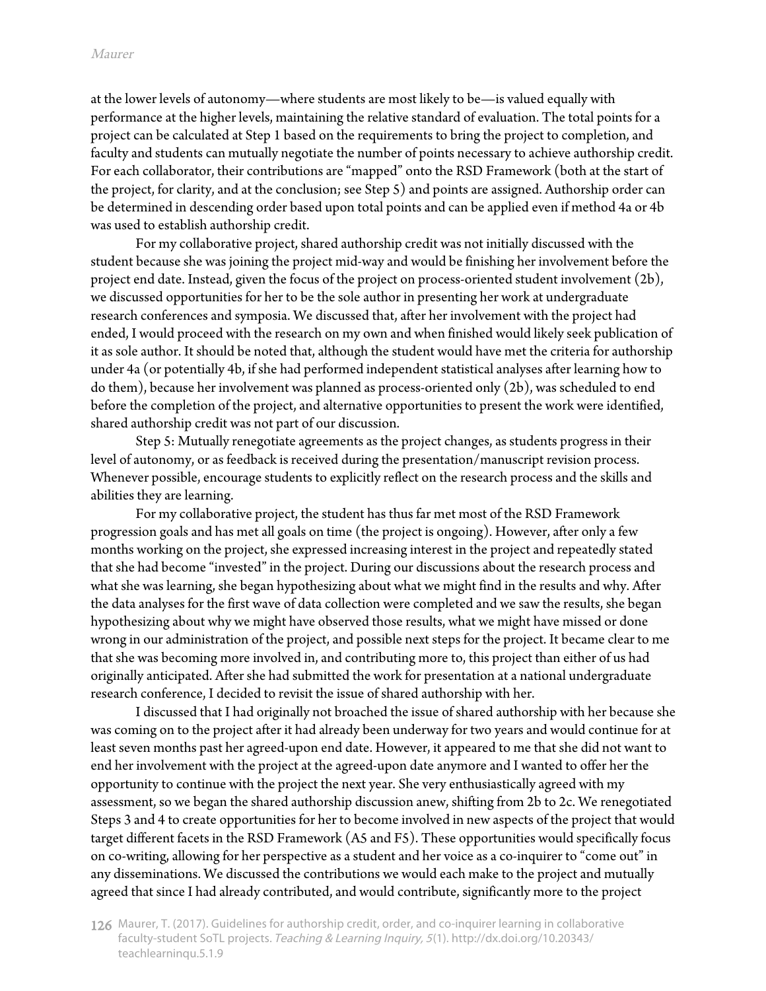at the lower levels of autonomy—where students are most likely to be—is valued equally with performance at the higher levels, maintaining the relative standard of evaluation. The total points for a project can be calculated at Step 1 based on the requirements to bring the project to completion, and faculty and students can mutually negotiate the number of points necessary to achieve authorship credit. For each collaborator, their contributions are "mapped" onto the RSD Framework (both at the start of the project, for clarity, and at the conclusion; see Step 5) and points are assigned. Authorship order can be determined in descending order based upon total points and can be applied even if method 4a or 4b was used to establish authorship credit.

For my collaborative project, shared authorship credit was not initially discussed with the student because she was joining the project mid-way and would be finishing her involvement before the project end date. Instead, given the focus of the project on process-oriented student involvement (2b), we discussed opportunities for her to be the sole author in presenting her work at undergraduate research conferences and symposia. We discussed that, after her involvement with the project had ended, I would proceed with the research on my own and when finished would likely seek publication of it as sole author. It should be noted that, although the student would have met the criteria for authorship under 4a (or potentially 4b, if she had performed independent statistical analyses after learning how to do them), because her involvement was planned as process-oriented only (2b), was scheduled to end before the completion of the project, and alternative opportunities to present the work were identified, shared authorship credit was not part of our discussion.

Step 5: Mutually renegotiate agreements as the project changes, as students progress in their level of autonomy, or as feedback is received during the presentation/manuscript revision process. Whenever possible, encourage students to explicitly reflect on the research process and the skills and abilities they are learning.

For my collaborative project, the student has thus far met most of the RSD Framework progression goals and has met all goals on time (the project is ongoing). However, after only a few months working on the project, she expressed increasing interest in the project and repeatedly stated that she had become "invested" in the project. During our discussions about the research process and what she was learning, she began hypothesizing about what we might find in the results and why. After the data analyses for the first wave of data collection were completed and we saw the results, she began hypothesizing about why we might have observed those results, what we might have missed or done wrong in our administration of the project, and possible next steps for the project. It became clear to me that she was becoming more involved in, and contributing more to, this project than either of us had originally anticipated. After she had submitted the work for presentation at a national undergraduate research conference, I decided to revisit the issue of shared authorship with her.

I discussed that I had originally not broached the issue of shared authorship with her because she was coming on to the project after it had already been underway for two years and would continue for at least seven months past her agreed-upon end date. However, it appeared to me that she did not want to end her involvement with the project at the agreed-upon date anymore and I wanted to offer her the opportunity to continue with the project the next year. She very enthusiastically agreed with my assessment, so we began the shared authorship discussion anew, shifting from 2b to 2c. We renegotiated Steps 3 and 4 to create opportunities for her to become involved in new aspects of the project that would target different facets in the RSD Framework (A5 and F5). These opportunities would specifically focus on co-writing, allowing for her perspective as a student and her voice as a co-inquirer to "come out" in any disseminations. We discussed the contributions we would each make to the project and mutually agreed that since I had already contributed, and would contribute, significantly more to the project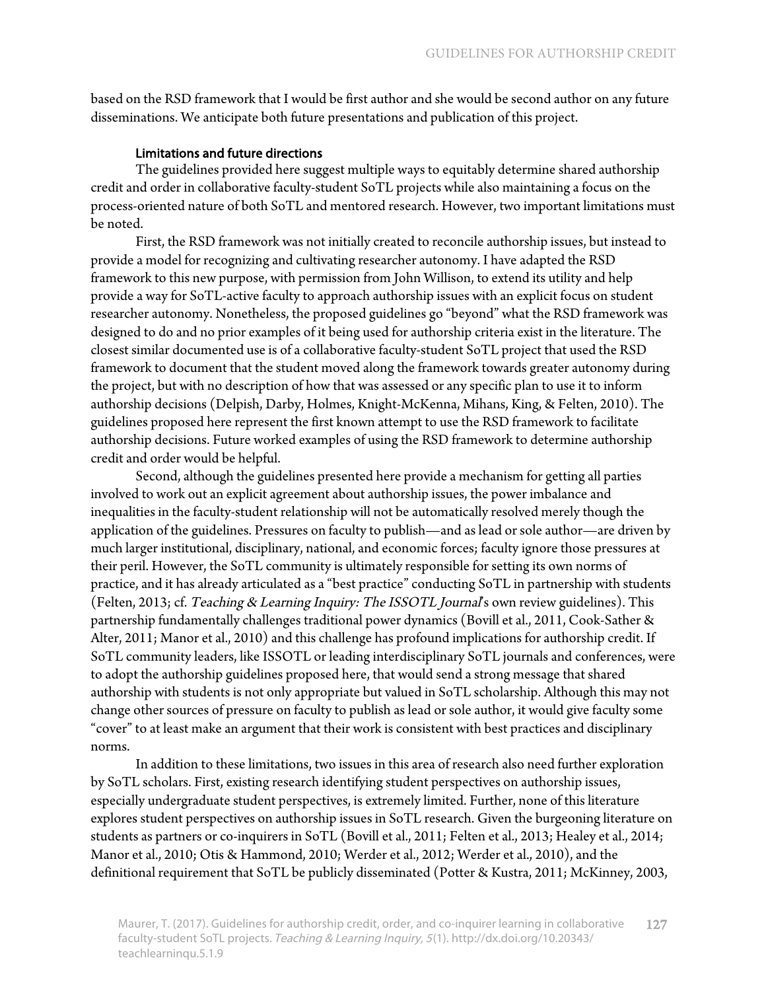based on the RSD framework that I would be first author and she would be second author on any future disseminations. We anticipate both future presentations and publication of this project.

#### Limitations and future directions

The guidelines provided here suggest multiple ways to equitably determine shared authorship credit and order in collaborative faculty-student SoTL projects while also maintaining a focus on the process-oriented nature of both SoTL and mentored research. However, two important limitations must be noted.

First, the RSD framework was not initially created to reconcile authorship issues, but instead to provide a model for recognizing and cultivating researcher autonomy. I have adapted the RSD framework to this new purpose, with permission from John Willison, to extend its utility and help provide a way for SoTL-active faculty to approach authorship issues with an explicit focus on student researcher autonomy. Nonetheless, the proposed guidelines go "beyond" what the RSD framework was designed to do and no prior examples of it being used for authorship criteria exist in the literature. The closest similar documented use is of a collaborative faculty-student SoTL project that used the RSD framework to document that the student moved along the framework towards greater autonomy during the project, but with no description of how that was assessed or any specific plan to use it to inform authorship decisions (Delpish, Darby, Holmes, Knight-McKenna, Mihans, King, & Felten, 2010). The guidelines proposed here represent the first known attempt to use the RSD framework to facilitate authorship decisions. Future worked examples of using the RSD framework to determine authorship credit and order would be helpful.

Second, although the guidelines presented here provide a mechanism for getting all parties involved to work out an explicit agreement about authorship issues, the power imbalance and inequalities in the faculty-student relationship will not be automatically resolved merely though the application of the guidelines. Pressures on faculty to publish—and as lead or sole author—are driven by much larger institutional, disciplinary, national, and economic forces; faculty ignore those pressures at their peril. However, the SoTL community is ultimately responsible for setting its own norms of practice, and it has already articulated as a "best practice" conducting SoTL in partnership with students (Felten, 2013; cf. Teaching & Learning Inquiry: The ISSOTL Journal's own review guidelines). This partnership fundamentally challenges traditional power dynamics (Bovill et al., 2011, Cook-Sather & Alter, 2011; Manor et al., 2010) and this challenge has profound implications for authorship credit. If SoTL community leaders, like ISSOTL or leading interdisciplinary SoTL journals and conferences, were to adopt the authorship guidelines proposed here, that would send a strong message that shared authorship with students is not only appropriate but valued in SoTL scholarship. Although this may not change other sources of pressure on faculty to publish as lead or sole author, it would give faculty some "cover" to at least make an argument that their work is consistent with best practices and disciplinary norms.

In addition to these limitations, two issues in this area of research also need further exploration by SoTL scholars. First, existing research identifying student perspectives on authorship issues, especially undergraduate student perspectives, is extremely limited. Further, none of this literature explores student perspectives on authorship issues in SoTL research. Given the burgeoning literature on students as partners or co-inquirers in SoTL (Bovill et al., 2011; Felten et al., 2013; Healey et al., 2014; Manor et al., 2010; Otis & Hammond, 2010; Werder et al., 2012; Werder et al., 2010), and the definitional requirement that SoTL be publicly disseminated (Potter & Kustra, 2011; McKinney, 2003,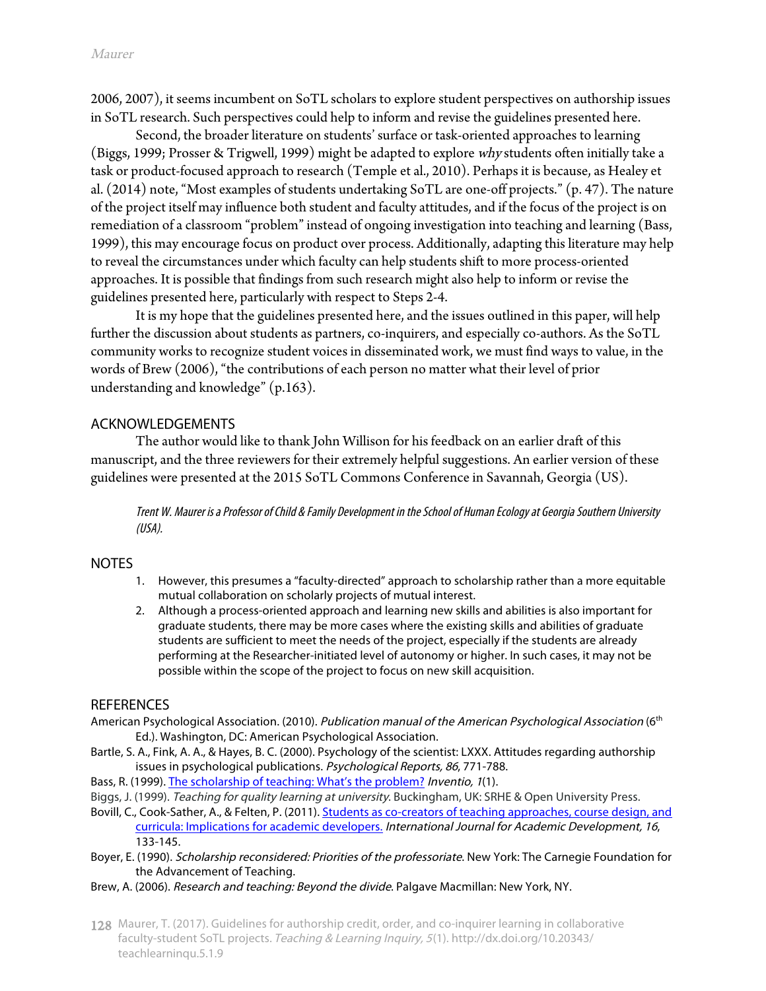2006, 2007), it seems incumbent on SoTL scholars to explore student perspectives on authorship issues in SoTL research. Such perspectives could help to inform and revise the guidelines presented here.

Second, the broader literature on students' surface or task-oriented approaches to learning (Biggs, 1999; Prosser & Trigwell, 1999) might be adapted to explore why students often initially take a task or product-focused approach to research (Temple et al., 2010). Perhaps it is because, as Healey et al. (2014) note, "Most examples of students undertaking SoTL are one-off projects." (p. 47). The nature of the project itself may influence both student and faculty attitudes, and if the focus of the project is on remediation of a classroom "problem" instead of ongoing investigation into teaching and learning (Bass, 1999), this may encourage focus on product over process. Additionally, adapting this literature may help to reveal the circumstances under which faculty can help students shift to more process-oriented approaches. It is possible that findings from such research might also help to inform or revise the guidelines presented here, particularly with respect to Steps 2-4.

It is my hope that the guidelines presented here, and the issues outlined in this paper, will help further the discussion about students as partners, co-inquirers, and especially co-authors. As the SoTL community works to recognize student voices in disseminated work, we must find ways to value, in the words of Brew (2006), "the contributions of each person no matter what their level of prior understanding and knowledge" (p.163).

#### ACKNOWLEDGEMENTS

The author would like to thank John Willison for his feedback on an earlier draft of this manuscript, and the three reviewers for their extremely helpful suggestions. An earlier version of these guidelines were presented at the 2015 SoTL Commons Conference in Savannah, Georgia (US).

Trent W. Maurer isa Professor of Child & Family Development in the School of Human Ecology at Georgia Southern University (USA).

#### **NOTES**

- 1. However, this presumes a "faculty-directed" approach to scholarship rather than a more equitable mutual collaboration on scholarly projects of mutual interest.
- 2. Although a process-oriented approach and learning new skills and abilities is also important for graduate students, there may be more cases where the existing skills and abilities of graduate students are sufficient to meet the needs of the project, especially if the students are already performing at the Researcher-initiated level of autonomy or higher. In such cases, it may not be possible within the scope of the project to focus on new skill acquisition.

#### **REFERENCES**

- American Psychological Association. (2010). Publication manual of the American Psychological Association (6<sup>th</sup> Ed.). Washington, DC: American Psychological Association.
- Bartle, S. A., Fink, A. A., & Hayes, B. C. (2000). Psychology of the scientist: LXXX. Attitudes regarding authorship issues in psychological publications. Psychological Reports, 86, 771-788.
- Bass, R. (1999). [The scholarship of teaching: What's the problem](https://my.vanderbilt.edu/sotl/files/2013/08/Bass-Problem1.pdf)? Inventio, 1(1).
- Biggs, J. (1999). Teaching for quality learning at university. Buckingham, UK: SRHE & Open University Press.
- Bovill, C.[, Cook-Sather, A., & Felten, P. \(2011\). Students as co-creators of teaching approaches, course design, and](http://www.tandfonline.com/doi/abs/10.1080/1360144X.2011.568690) curricula: Implications for academic developers. International Journal for Academic Development, 16, 133-145.
- Boyer, E. (1990). Scholarship reconsidered: Priorities of the professoriate. New York: The Carnegie Foundation for the Advancement of Teaching.
- Brew, A. (2006). Research and teaching: Beyond the divide. Palgave Macmillan: New York, NY.
- 128 Maurer, T. (2017). Guidelines for authorship credit, order, and co-inquirer learning in collaborative faculty-student SoTL projects. Teaching & Learning Inquiry, <sup>5</sup>(1). http://dx.doi.org/10.20343/ teachlearninqu.5.1.9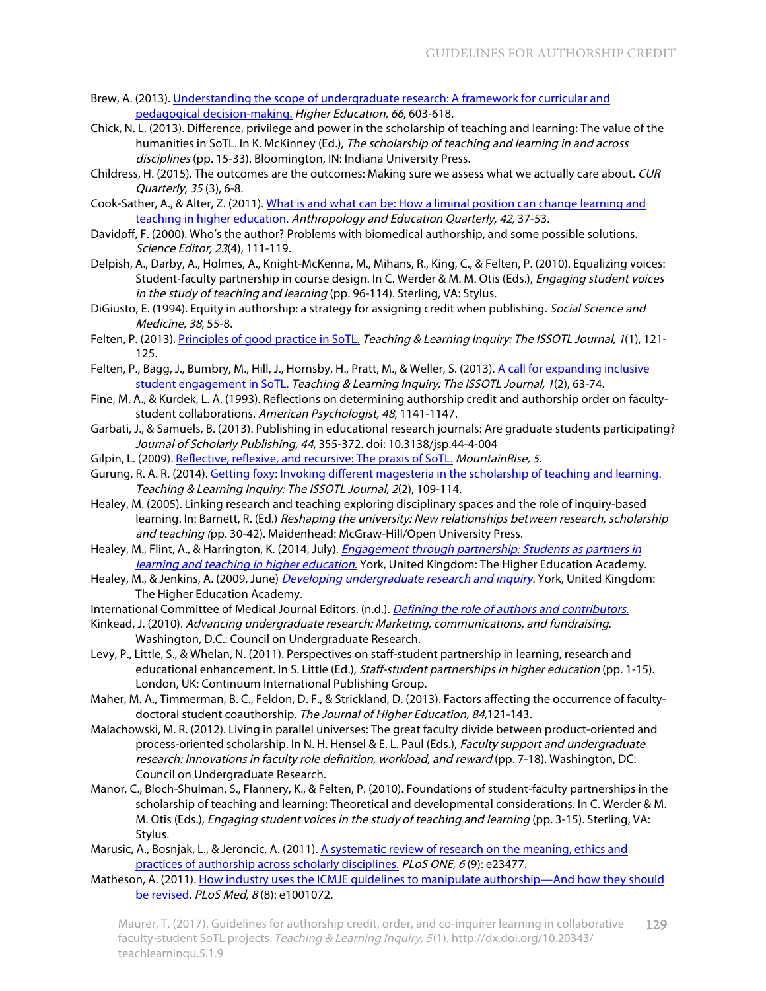- Brew, A. [\(2013\). Understanding the scope of undergraduate research: A framework for curricular and](http://link.springer.com/article/10.1007/s10734-013-9624-x)  pedagogical decision-making. Higher Education, 66, 603-618.
- Chick, N. L. (2013). Difference, privilege and power in the scholarship of teaching and learning: The value of the humanities in SoTL. In K. McKinney (Ed.), The scholarship of teaching and learning in and across disciplines (pp. 15-33). Bloomington, IN: Indiana University Press.
- Childress, H. (2015). The outcomes are the outcomes: Making sure we assess what we actually care about. CUR Quarterly, <sup>35</sup> (3), 6-8.
- Cook-Sa[ther, A., & Alter, Z. \(2011\). What is and what can be: How a liminal position can change learning and](http://onlinelibrary.wiley.com/doi/10.1111/j.1548-1492.2010.01109.x/abstract) teaching in higher education. Anthropology and Education Quarterly, 42, 37-53.
- Davidoff, F. (2000). Who's the author? Problems with biomedical authorship, and some possible solutions. Science Editor, 23(4), 111-119.
- Delpish, A., Darby, A., Holmes, A., Knight-McKenna, M., Mihans, R., King, C., & Felten, P. (2010). Equalizing voices: Student-faculty partnership in course design. In C. Werder & M. M. Otis (Eds.), *Engaging student voices* in the study of teaching and learning (pp. 96-114). Sterling, VA: Stylus.
- DiGiusto, E. (1994). Equity in authorship: a strategy for assigning credit when publishing. Social Science and Medicine, 38, 55-8.
- Felten, P. (2013). [Principles of good practice in SoTL.](http://dx.doi.org/10.20343/teachlearninqu.1.1.121) Teaching & Learning Inquiry: The ISSOTL Journal, 1(1), 121-125.
- Felten, P[., Bagg, J., Bumbry, M., Hill, J., Hornsby, H., Pratt, M., & Weller, S. \(2013\). A call for expanding inclusive](http://dx.doi.org/10.20343/teachlearninqu.1.2.63) student engagement in SoTL. Teaching & Learning Inquiry: The ISSOTL Journal, 1(2), 63-74.
- Fine, M. A., & Kurdek, L. A. (1993). Reflections on determining authorship credit and authorship order on facultystudent collaborations. American Psychologist, 48, 1141-1147.
- Garbati, J., & Samuels, B. (2013). Publishing in educational research journals: Are graduate students participating? Journal of Scholarly Publishing, 44, 355-372. doi: 10.3138/jsp.44-4-004
- Gilpin, L. (2009). [Reflective, reflexive, and recursive: The praxis of SoTL](http://dx.doi.org/10.1234/mr.v5i3.132). MountainRise, 5.
- Gurung, R. A. R. (2014). [Getting foxy: Invoking different magesteria in the scholarship of teaching and learning.](http://dx.doi.org/10.20343/teachlearninqu.2.2.109) Teaching & Learning Inquiry: The ISSOTL Journal, 2(2), 109-114.
- Healey, M. (2005). Linking research and teaching exploring disciplinary spaces and the role of inquiry-based learning. In: Barnett, R. (Ed.) Reshaping the university: New relationships between research, scholarship and teaching (pp. 30-42). Maidenhead: McGraw-Hill/Open University Press.
- Healey, M., Flint, A., & Harrington, K. (2014, July). *Engagement through partnership: Students as partners in* learning and teaching in higher education. [York, United Kingdom: The Higher Education Academy](https://www.heacademy.ac.uk/sites/default/files/resources/engagement_through_partnership.pdf).
- Healey, M., & Jenkins, A. (2009, June) *Developing undergraduate research and inquiry*. York, United Kingdom: The Higher Education Academy.
- International Committee of Medical Journal Editors. (n.d.). [Defining the role of authors and contributors.](http://www.icmje.org/recommendations/browse/roles-and-responsibilities/defining-the-role-of-authors-and-contributors.html)
- Kinkead, J. (2010). Advancing undergraduate research: Marketing, communications, and fundraising. Washington, D.C.: Council on Undergraduate Research.
- Levy, P., Little, S., & Whelan, N. (2011). Perspectives on staff-student partnership in learning, research and educational enhancement. In S. Little (Ed.), Staff-student partnerships in higher education (pp. 1-15). London, UK: Continuum International Publishing Group.
- Maher, M. A., Timmerman, B. C., Feldon, D. F., & Strickland, D. (2013). Factors affecting the occurrence of facultydoctoral student coauthorship. The Journal of Higher Education, 84,121-143.
- Malachowski, M. R. (2012). Living in parallel universes: The great faculty divide between product-oriented and process-oriented scholarship. In N. H. Hensel & E. L. Paul (Eds.), Faculty support and undergraduate research: Innovations in faculty role definition, workload, and reward (pp. 7-18). Washington, DC: Council on Undergraduate Research.
- Manor, C., Bloch-Shulman, S., Flannery, K., & Felten, P. (2010). Foundations of student-faculty partnerships in the scholarship of teaching and learning: Theoretical and developmental considerations. In C. Werder & M. M. Otis (Eds.), Engaging student voices in the study of teaching and learning (pp. 3-15). Sterling, VA: Stylus.
- Marusic, [A., Bosnjak, L., & Jeroncic, A. \(2011\). A systematic review of research on the meaning, ethics and](http://dx.doi.org/10.1371/journal.pone.0023477) practices of authorship across scholarly disciplines. PLoS ONE, 6 (9): e23477.
- Mathes[on, A. \(2011\). How industry uses the ICMJE guidelines to manipulate authorship—And how they should](http://dx.doi.org/10.1371/journal.pmed.1001072) be revised. PLoS Med, 8 (8): e1001072.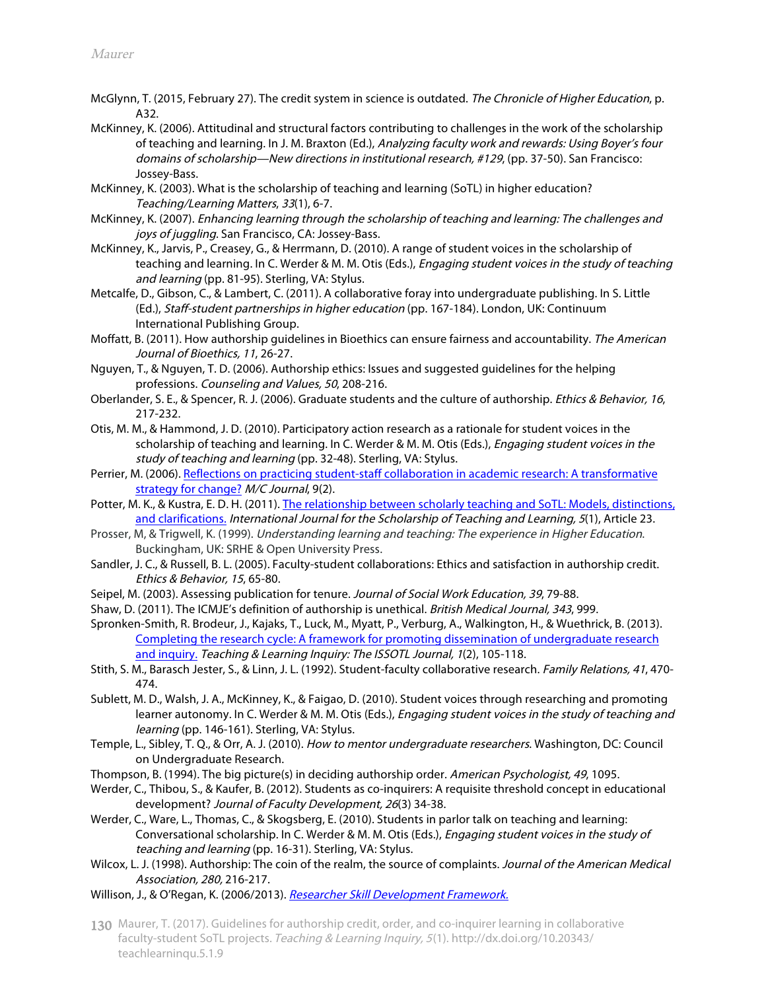- McGlynn, T. (2015, February 27). The credit system in science is outdated. The Chronicle of Higher Education, p. A32.
- McKinney, K. (2006). Attitudinal and structural factors contributing to challenges in the work of the scholarship of teaching and learning. In J. M. Braxton (Ed.), Analyzing faculty work and rewards: Using Boyer's four domains of scholarship—New directions in institutional research, #129, (pp. 37-50). San Francisco: Jossey-Bass.
- McKinney, K. (2003). What is the scholarship of teaching and learning (SoTL) in higher education? Teaching/Learning Matters, 33(1), 6-7.
- McKinney, K. (2007). Enhancing learning through the scholarship of teaching and learning: The challenges and joys of juggling. San Francisco, CA: Jossey-Bass.
- McKinney, K., Jarvis, P., Creasey, G., & Herrmann, D. (2010). A range of student voices in the scholarship of teaching and learning. In C. Werder & M. M. Otis (Eds.), *Engaging student voices in the study of teaching* and learning (pp. 81-95). Sterling, VA: Stylus.
- Metcalfe, D., Gibson, C., & Lambert, C. (2011). A collaborative foray into undergraduate publishing. In S. Little (Ed.), Staff-student partnerships in higher education (pp. 167-184). London, UK: Continuum International Publishing Group.
- Moffatt, B. (2011). How authorship guidelines in Bioethics can ensure fairness and accountability. The American Journal of Bioethics, 11, 26-27.
- Nguyen, T., & Nguyen, T. D. (2006). Authorship ethics: Issues and suggested guidelines for the helping professions. Counseling and Values, 50, 208-216.
- Oberlander, S. E., & Spencer, R. J. (2006). Graduate students and the culture of authorship. Ethics & Behavior, 16, 217-232.
- Otis, M. M., & Hammond, J. D. (2010). Participatory action research as a rationale for student voices in the scholarship of teaching and learning. In C. Werder & M. M. Otis (Eds.), Engaging student voices in the study of teaching and learning (pp. 32-48). Sterling, VA: Stylus.
- Perrier, [M. \(2006\). Reflections on practicing student-staff collaboration in academic research: A transformative](http://journal.media-culture.org.au/0605/08-perrier.php)  strategy for change? M/C Journal, 9(2).
- Potter, [M. K., & Kustra, E. D. H. \(2011\). The relationship between scholarly teaching and SoTL: Models, distinctions,](https://doi.org/10.20429/ijsotl.2011.050123)  and clarifications. International Journal for the Scholarship of Teaching and Learning, 5(1), Article 23.
- Prosser, M, & Trigwell, K. (1999). Understanding learning and teaching: The experience in Higher Education. Buckingham, UK: SRHE & Open University Press.
- Sandler, J. C., & Russell, B. L. (2005). Faculty-student collaborations: Ethics and satisfaction in authorship credit. Ethics & Behavior, 15, 65-80.
- Seipel, M. (2003). Assessing publication for tenure. Journal of Social Work Education, 39, 79-88.
- Shaw, D. (2011). The ICMJE's definition of authorship is unethical. British Medical Journal, 343, 999.
- Spronken-Smith, R. Brodeur, J., Kajaks, T., Luck, M., Myatt, P., Verburg, A., Walkington, H., & Wuethrick, B. (2013). [Completing the research cycle: A framework for promoting dissemination of undergraduate research](http://dx.doi.org/10.20343/teachlearninqu.1.2.105) and inquiry. Teaching & Learning Inquiry: The ISSOTL Journal, 1(2), 105-118.
- Stith, S. M., Barasch Jester, S., & Linn, J. L. (1992). Student-faculty collaborative research. Family Relations, 41, 470- 474.
- Sublett, M. D., Walsh, J. A., McKinney, K., & Faigao, D. (2010). Student voices through researching and promoting learner autonomy. In C. Werder & M. M. Otis (Eds.), *Engaging student voices in the study of teaching and* learning (pp. 146-161). Sterling, VA: Stylus.
- Temple, L., Sibley, T. Q., & Orr, A. J. (2010). How to mentor undergraduate researchers. Washington, DC: Council on Undergraduate Research.
- Thompson, B. (1994). The big picture(s) in deciding authorship order. American Psychologist, 49, 1095.
- Werder, C., Thibou, S., & Kaufer, B. (2012). Students as co-inquirers: A requisite threshold concept in educational development? Journal of Faculty Development, 26(3) 34-38.
- Werder, C., Ware, L., Thomas, C., & Skogsberg, E. (2010). Students in parlor talk on teaching and learning: Conversational scholarship. In C. Werder & M. M. Otis (Eds.), Engaging student voices in the study of teaching and learning (pp. 16-31). Sterling, VA: Stylus.
- Wilcox, L. J. (1998). Authorship: The coin of the realm, the source of complaints. Journal of the American Medical Association, 280, 216-217.
- Willison, J., & O'Regan, K. (2006/2013). [Researcher Skill Development Framework.](https://www.adelaide.edu.au/rsd/)
- 130 Maurer, T. (2017). Guidelines for authorship credit, order, and co-inquirer learning in collaborative faculty-student SoTL projects. Teaching & Learning Inquiry, <sup>5</sup>(1). http://dx.doi.org/10.20343/ teachlearninqu.5.1.9